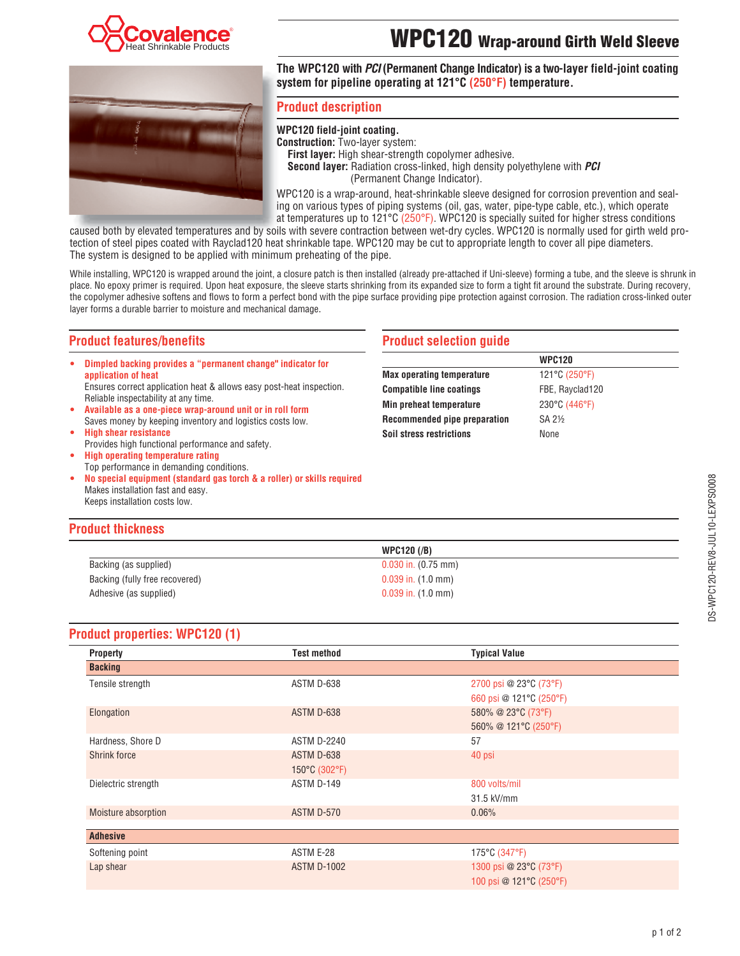

# **WPC120 Wrap-around Girth Weld Sleeve**



**The WPC120 with** *PCI* **(Permanent Change Indicator) is a two-layer field-joint coating system for pipeline operating at 121°C (250°F) temperature.**

## **Product description**

## **WPC120 field-joint coating.**

**Construction:** Two-layer system: **First layer:** High shear-strength copolymer adhesive. **Second layer:** Radiation cross-linked, high density polyethylene with *PCI* (Permanent Change Indicator).

WPC120 is a wrap-around, heat-shrinkable sleeve designed for corrosion prevention and sealing on various types of piping systems (oil, gas, water, pipe-type cable, etc.), which operate at temperatures up to  $121^{\circ}$ C ( $250^{\circ}$ F). WPC120 is specially suited for higher stress conditions

caused both by elevated temperatures and by soils with severe contraction between wet-dry cycles. WPC120 is normally used for girth weld protection of steel pipes coated with Rayclad120 heat shrinkable tape. WPC120 may be cut to appropriate length to cover all pipe diameters. The system is designed to be applied with minimum preheating of the pipe.

While installing, WPC120 is wrapped around the joint, a closure patch is then installed (already pre-attached if Uni-sleeve) forming a tube, and the sleeve is shrunk in place. No epoxy primer is required. Upon heat exposure, the sleeve starts shrinking from its expanded size to form a tight fit around the substrate. During recovery, the copolymer adhesive softens and flows to form a perfect bond with the pipe surface providing pipe protection against corrosion. The radiation cross-linked outer layer forms a durable barrier to moisture and mechanical damage.

## **Product features/benefits**

**U Dimpled backing provides a "permanent change" indicator for application of heat**

Ensures correct application heat & allows easy post-heat inspection. Reliable inspectability at any time.

- **U Available as a one-piece wrap-around unit or in roll form** Saves money by keeping inventory and logistics costs low.
- **U High shear resistance** Provides high functional performance and safety.
- **U High operating temperature rating** Top performance in demanding conditions.
- **U No special equipment (standard gas torch & a roller) or skills required** Makes installation fast and easy. Keeps installation costs low.

## **Product selection guide**

|                                  | <b>WPC120</b>   |
|----------------------------------|-----------------|
| <b>Max operating temperature</b> | 121°C (250°F)   |
| <b>Compatible line coatings</b>  | FBE, Rayclad120 |
| Min preheat temperature          | 230°C (446°F)   |
| Recommended pipe preparation     | SA 21/2         |
| <b>Soil stress restrictions</b>  | None            |
|                                  |                 |

## **Product thickness**

|                                | <b>WPC120 (/B)</b>             |
|--------------------------------|--------------------------------|
| Backing (as supplied)          | $0.030$ in. $(0.75$ mm)        |
| Backing (fully free recovered) | $0.039$ in. $(1.0 \text{ mm})$ |
| Adhesive (as supplied)         | $0.039$ in. $(1.0 \text{ mm})$ |

### ֦ **Product properties: WPC120 (1)**

| <b>Property</b>     | <b>Test method</b>          | <b>Typical Value</b>                              |
|---------------------|-----------------------------|---------------------------------------------------|
| <b>Backing</b>      |                             |                                                   |
| Tensile strength    | ASTM D-638                  | 2700 psi @ 23°C (73°F)<br>660 psi @ 121°C (250°F) |
| Elongation          | ASTM D-638                  | 580% @ 23°C (73°F)<br>560% @ 121°C (250°F)        |
| Hardness, Shore D   | <b>ASTM D-2240</b>          | 57                                                |
| <b>Shrink force</b> | ASTM D-638<br>150°C (302°F) | 40 psi                                            |
| Dielectric strength | ASTM D-149                  | 800 volts/mil<br>31.5 kV/mm                       |
| Moisture absorption | ASTM D-570                  | 0.06%                                             |
| <b>Adhesive</b>     |                             |                                                   |
| Softening point     | ASTM E-28                   | 175°C (347°F)                                     |
| Lap shear           | <b>ASTM D-1002</b>          | 1300 psi @ 23°C (73°F)<br>100 psi @ 121°C (250°F) |